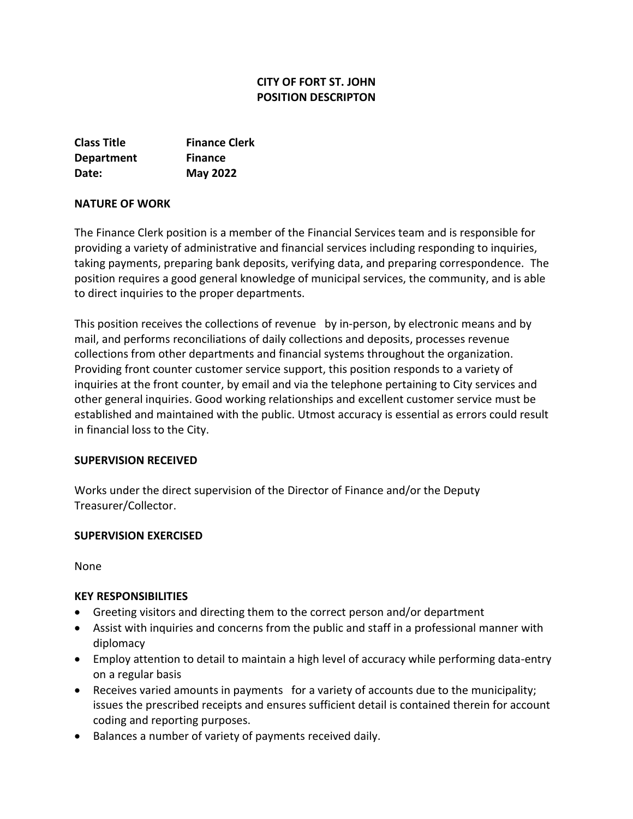# **CITY OF FORT ST. JOHN POSITION DESCRIPTON**

| <b>Class Title</b> | <b>Finance Clerk</b> |
|--------------------|----------------------|
| <b>Department</b>  | <b>Finance</b>       |
| Date:              | <b>May 2022</b>      |

#### **NATURE OF WORK**

The Finance Clerk position is a member of the Financial Services team and is responsible for providing a variety of administrative and financial services including responding to inquiries, taking payments, preparing bank deposits, verifying data, and preparing correspondence. The position requires a good general knowledge of municipal services, the community, and is able to direct inquiries to the proper departments.

This position receives the collections of revenue by in-person, by electronic means and by mail, and performs reconciliations of daily collections and deposits, processes revenue collections from other departments and financial systems throughout the organization. Providing front counter customer service support, this position responds to a variety of inquiries at the front counter, by email and via the telephone pertaining to City services and other general inquiries. Good working relationships and excellent customer service must be established and maintained with the public. Utmost accuracy is essential as errors could result in financial loss to the City.

#### **SUPERVISION RECEIVED**

Works under the direct supervision of the Director of Finance and/or the Deputy Treasurer/Collector.

#### **SUPERVISION EXERCISED**

None

#### **KEY RESPONSIBILITIES**

- Greeting visitors and directing them to the correct person and/or department
- Assist with inquiries and concerns from the public and staff in a professional manner with diplomacy
- Employ attention to detail to maintain a high level of accuracy while performing data-entry on a regular basis
- Receives varied amounts in payments for a variety of accounts due to the municipality; issues the prescribed receipts and ensures sufficient detail is contained therein for account coding and reporting purposes.
- Balances a number of variety of payments received daily.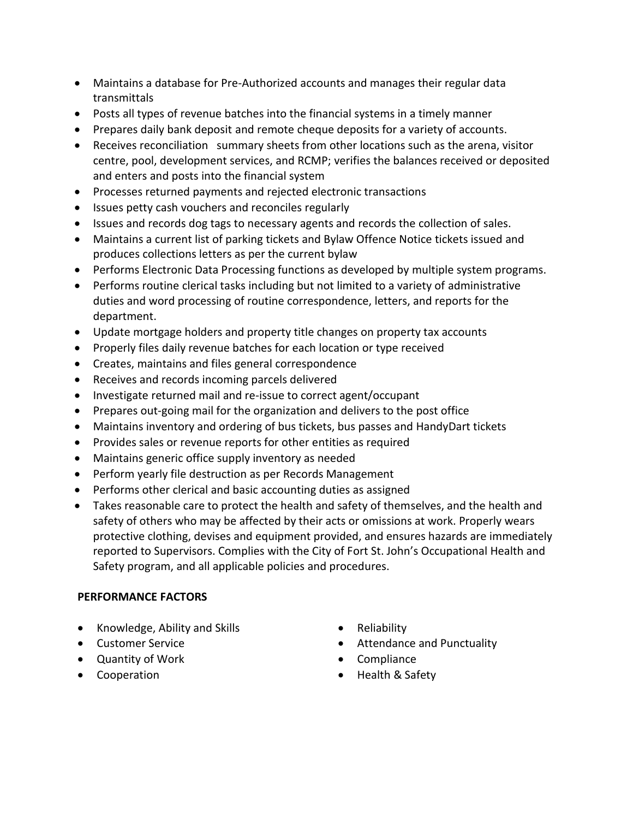- Maintains a database for Pre-Authorized accounts and manages their regular data transmittals
- Posts all types of revenue batches into the financial systems in a timely manner
- Prepares daily bank deposit and remote cheque deposits for a variety of accounts.
- Receives reconciliation summary sheets from other locations such as the arena, visitor centre, pool, development services, and RCMP; verifies the balances received or deposited and enters and posts into the financial system
- Processes returned payments and rejected electronic transactions
- Issues petty cash vouchers and reconciles regularly
- Issues and records dog tags to necessary agents and records the collection of sales.
- Maintains a current list of parking tickets and Bylaw Offence Notice tickets issued and produces collections letters as per the current bylaw
- Performs Electronic Data Processing functions as developed by multiple system programs.
- Performs routine clerical tasks including but not limited to a variety of administrative duties and word processing of routine correspondence, letters, and reports for the department.
- Update mortgage holders and property title changes on property tax accounts
- Properly files daily revenue batches for each location or type received
- Creates, maintains and files general correspondence
- Receives and records incoming parcels delivered
- Investigate returned mail and re-issue to correct agent/occupant
- Prepares out-going mail for the organization and delivers to the post office
- Maintains inventory and ordering of bus tickets, bus passes and HandyDart tickets
- Provides sales or revenue reports for other entities as required
- Maintains generic office supply inventory as needed
- Perform yearly file destruction as per Records Management
- Performs other clerical and basic accounting duties as assigned
- Takes reasonable care to protect the health and safety of themselves, and the health and safety of others who may be affected by their acts or omissions at work. Properly wears protective clothing, devises and equipment provided, and ensures hazards are immediately reported to Supervisors. Complies with the City of Fort St. John's Occupational Health and Safety program, and all applicable policies and procedures.

### **PERFORMANCE FACTORS**

- Knowledge, Ability and Skills
- Customer Service
- Quantity of Work
- Cooperation
- Reliability
- Attendance and Punctuality
- Compliance
- Health & Safety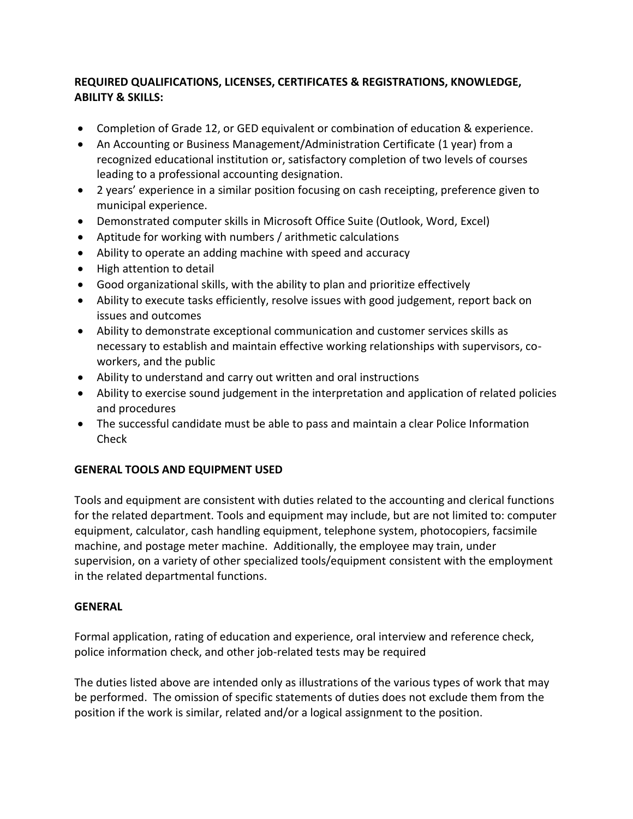## **REQUIRED QUALIFICATIONS, LICENSES, CERTIFICATES & REGISTRATIONS, KNOWLEDGE, ABILITY & SKILLS:**

- Completion of Grade 12, or GED equivalent or combination of education & experience.
- An Accounting or Business Management/Administration Certificate (1 year) from a recognized educational institution or, satisfactory completion of two levels of courses leading to a professional accounting designation.
- 2 years' experience in a similar position focusing on cash receipting, preference given to municipal experience.
- Demonstrated computer skills in Microsoft Office Suite (Outlook, Word, Excel)
- Aptitude for working with numbers / arithmetic calculations
- Ability to operate an adding machine with speed and accuracy
- High attention to detail
- Good organizational skills, with the ability to plan and prioritize effectively
- Ability to execute tasks efficiently, resolve issues with good judgement, report back on issues and outcomes
- Ability to demonstrate exceptional communication and customer services skills as necessary to establish and maintain effective working relationships with supervisors, coworkers, and the public
- Ability to understand and carry out written and oral instructions
- Ability to exercise sound judgement in the interpretation and application of related policies and procedures
- The successful candidate must be able to pass and maintain a clear Police Information Check

# **GENERAL TOOLS AND EQUIPMENT USED**

Tools and equipment are consistent with duties related to the accounting and clerical functions for the related department. Tools and equipment may include, but are not limited to: computer equipment, calculator, cash handling equipment, telephone system, photocopiers, facsimile machine, and postage meter machine. Additionally, the employee may train, under supervision, on a variety of other specialized tools/equipment consistent with the employment in the related departmental functions.

### **GENERAL**

Formal application, rating of education and experience, oral interview and reference check, police information check, and other job-related tests may be required

The duties listed above are intended only as illustrations of the various types of work that may be performed. The omission of specific statements of duties does not exclude them from the position if the work is similar, related and/or a logical assignment to the position.